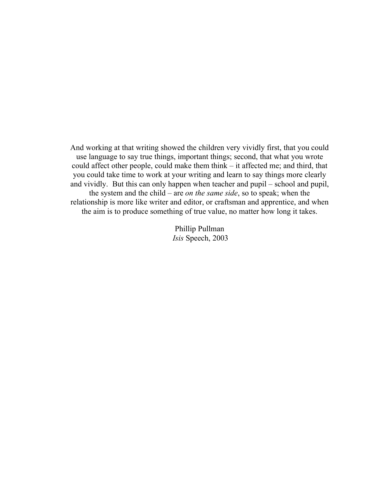And working at that writing showed the children very vividly first, that you could use language to say true things, important things; second, that what you wrote could affect other people, could make them think – it affected me; and third, that you could take time to work at your writing and learn to say things more clearly and vividly. But this can only happen when teacher and pupil – school and pupil, the system and the child – are *on the same side*, so to speak; when the relationship is more like writer and editor, or craftsman and apprentice, and when the aim is to produce something of true value, no matter how long it takes.

> Phillip Pullman *Isis* Speech, 2003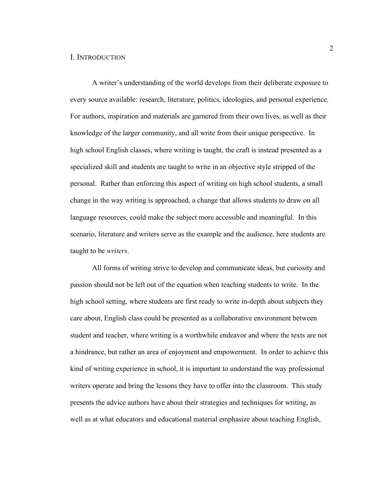## I. INTRODUCTION

A writer's understanding of the world develops from their deliberate exposure to every source available: research, literature, politics, ideologies, and personal experience. For authors, inspiration and materials are garnered from their own lives, as well as their knowledge of the larger community, and all write from their unique perspective. In high school English classes, where writing is taught, the craft is instead presented as a specialized skill and students are taught to write in an objective style stripped of the personal. Rather than enforcing this aspect of writing on high school students, a small change in the way writing is approached, a change that allows students to draw on all language resources, could make the subject more accessible and meaningful. In this scenario, literature and writers serve as the example and the audience, here students are taught to be *writers*.

All forms of writing strive to develop and communicate ideas, but curiosity and passion should not be left out of the equation when teaching students to write. In the high school setting, where students are first ready to write in-depth about subjects they care about, English class could be presented as a collaborative environment between student and teacher, where writing is a worthwhile endeavor and where the texts are not a hindrance, but rather an area of enjoyment and empowerment. In order to achieve this kind of writing experience in school, it is important to understand the way professional writers operate and bring the lessons they have to offer into the classroom. This study presents the advice authors have about their strategies and techniques for writing, as well as at what educators and educational material emphasize about teaching English,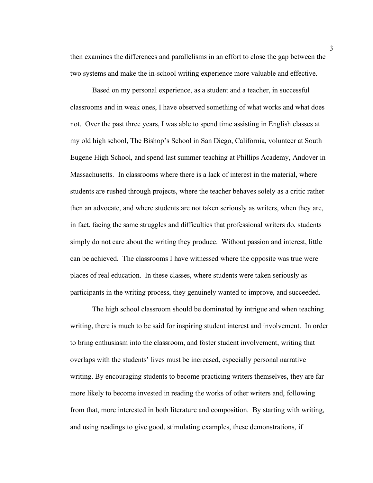then examines the differences and parallelisms in an effort to close the gap between the two systems and make the in-school writing experience more valuable and effective.

Based on my personal experience, as a student and a teacher, in successful classrooms and in weak ones, I have observed something of what works and what does not. Over the past three years, I was able to spend time assisting in English classes at my old high school, The Bishop's School in San Diego, California, volunteer at South Eugene High School, and spend last summer teaching at Phillips Academy, Andover in Massachusetts. In classrooms where there is a lack of interest in the material, where students are rushed through projects, where the teacher behaves solely as a critic rather then an advocate, and where students are not taken seriously as writers, when they are, in fact, facing the same struggles and difficulties that professional writers do, students simply do not care about the writing they produce. Without passion and interest, little can be achieved. The classrooms I have witnessed where the opposite was true were places of real education. In these classes, where students were taken seriously as participants in the writing process, they genuinely wanted to improve, and succeeded.

The high school classroom should be dominated by intrigue and when teaching writing, there is much to be said for inspiring student interest and involvement. In order to bring enthusiasm into the classroom, and foster student involvement, writing that overlaps with the students' lives must be increased, especially personal narrative writing. By encouraging students to become practicing writers themselves, they are far more likely to become invested in reading the works of other writers and, following from that, more interested in both literature and composition. By starting with writing, and using readings to give good, stimulating examples, these demonstrations, if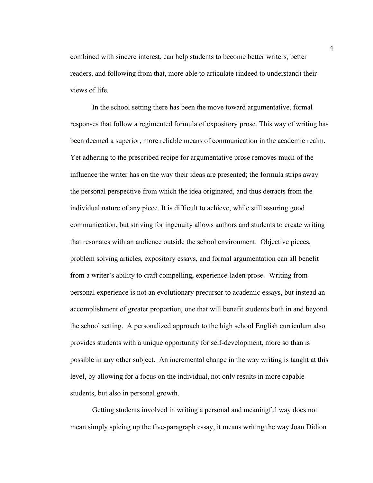combined with sincere interest, can help students to become better writers, better readers, and following from that, more able to articulate (indeed to understand) their views of life.

In the school setting there has been the move toward argumentative, formal responses that follow a regimented formula of expository prose. This way of writing has been deemed a superior, more reliable means of communication in the academic realm. Yet adhering to the prescribed recipe for argumentative prose removes much of the influence the writer has on the way their ideas are presented; the formula strips away the personal perspective from which the idea originated, and thus detracts from the individual nature of any piece. It is difficult to achieve, while still assuring good communication, but striving for ingenuity allows authors and students to create writing that resonates with an audience outside the school environment. Objective pieces, problem solving articles, expository essays, and formal argumentation can all benefit from a writer's ability to craft compelling, experience-laden prose. Writing from personal experience is not an evolutionary precursor to academic essays, but instead an accomplishment of greater proportion, one that will benefit students both in and beyond the school setting. A personalized approach to the high school English curriculum also provides students with a unique opportunity for self-development, more so than is possible in any other subject. An incremental change in the way writing is taught at this level, by allowing for a focus on the individual, not only results in more capable students, but also in personal growth.

Getting students involved in writing a personal and meaningful way does not mean simply spicing up the five-paragraph essay, it means writing the way Joan Didion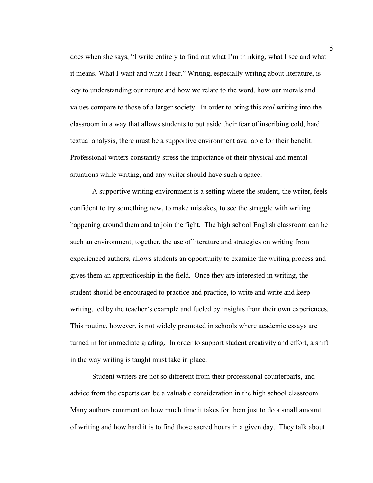does when she says, "I write entirely to find out what I'm thinking, what I see and what it means. What I want and what I fear." Writing, especially writing about literature, is key to understanding our nature and how we relate to the word, how our morals and values compare to those of a larger society. In order to bring this *real* writing into the classroom in a way that allows students to put aside their fear of inscribing cold, hard textual analysis, there must be a supportive environment available for their benefit. Professional writers constantly stress the importance of their physical and mental situations while writing, and any writer should have such a space.

A supportive writing environment is a setting where the student, the writer, feels confident to try something new, to make mistakes, to see the struggle with writing happening around them and to join the fight. The high school English classroom can be such an environment; together, the use of literature and strategies on writing from experienced authors, allows students an opportunity to examine the writing process and gives them an apprenticeship in the field. Once they are interested in writing, the student should be encouraged to practice and practice, to write and write and keep writing, led by the teacher's example and fueled by insights from their own experiences. This routine, however, is not widely promoted in schools where academic essays are turned in for immediate grading. In order to support student creativity and effort, a shift in the way writing is taught must take in place.

Student writers are not so different from their professional counterparts, and advice from the experts can be a valuable consideration in the high school classroom. Many authors comment on how much time it takes for them just to do a small amount of writing and how hard it is to find those sacred hours in a given day. They talk about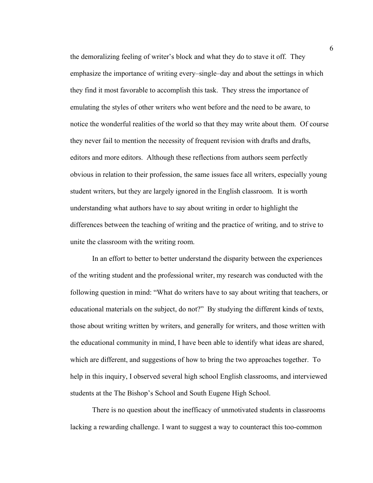the demoralizing feeling of writer's block and what they do to stave it off. They emphasize the importance of writing every–single–day and about the settings in which they find it most favorable to accomplish this task. They stress the importance of emulating the styles of other writers who went before and the need to be aware, to notice the wonderful realities of the world so that they may write about them. Of course they never fail to mention the necessity of frequent revision with drafts and drafts, editors and more editors. Although these reflections from authors seem perfectly obvious in relation to their profession, the same issues face all writers, especially young student writers, but they are largely ignored in the English classroom. It is worth understanding what authors have to say about writing in order to highlight the differences between the teaching of writing and the practice of writing, and to strive to unite the classroom with the writing room.

In an effort to better to better understand the disparity between the experiences of the writing student and the professional writer, my research was conducted with the following question in mind: "What do writers have to say about writing that teachers, or educational materials on the subject, do not?" By studying the different kinds of texts, those about writing written by writers, and generally for writers, and those written with the educational community in mind, I have been able to identify what ideas are shared, which are different, and suggestions of how to bring the two approaches together. To help in this inquiry, I observed several high school English classrooms, and interviewed students at the The Bishop's School and South Eugene High School.

There is no question about the inefficacy of unmotivated students in classrooms lacking a rewarding challenge. I want to suggest a way to counteract this too-common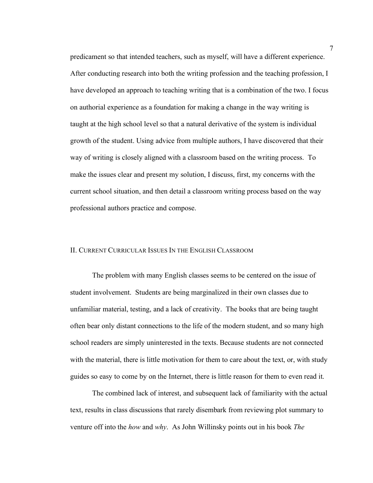predicament so that intended teachers, such as myself, will have a different experience. After conducting research into both the writing profession and the teaching profession, I have developed an approach to teaching writing that is a combination of the two. I focus on authorial experience as a foundation for making a change in the way writing is taught at the high school level so that a natural derivative of the system is individual growth of the student. Using advice from multiple authors, I have discovered that their way of writing is closely aligned with a classroom based on the writing process. To make the issues clear and present my solution, I discuss, first, my concerns with the current school situation, and then detail a classroom writing process based on the way professional authors practice and compose.

### II. CURRENT CURRICULAR ISSUES IN THE ENGLISH CLASSROOM

The problem with many English classes seems to be centered on the issue of student involvement. Students are being marginalized in their own classes due to unfamiliar material, testing, and a lack of creativity. The books that are being taught often bear only distant connections to the life of the modern student, and so many high school readers are simply uninterested in the texts. Because students are not connected with the material, there is little motivation for them to care about the text, or, with study guides so easy to come by on the Internet, there is little reason for them to even read it.

The combined lack of interest, and subsequent lack of familiarity with the actual text, results in class discussions that rarely disembark from reviewing plot summary to venture off into the *how* and *why*. As John Willinsky points out in his book *The*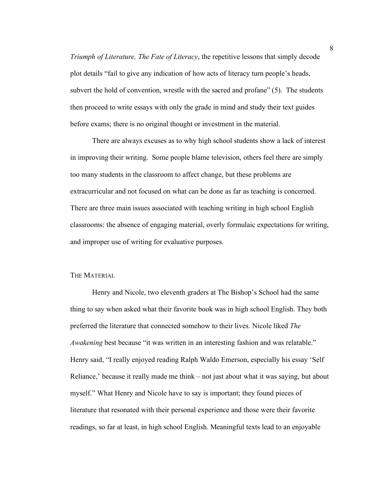*Triumph of Literature, The Fate of Literacy*, the repetitive lessons that simply decode plot details "fail to give any indication of how acts of literacy turn people's heads, subvert the hold of convention, wrestle with the sacred and profane" (5). The students then proceed to write essays with only the grade in mind and study their text guides before exams; there is no original thought or investment in the material.

There are always excuses as to why high school students show a lack of interest in improving their writing. Some people blame television, others feel there are simply too many students in the classroom to affect change, but these problems are extracurricular and not focused on what can be done as far as teaching is concerned. There are three main issues associated with teaching writing in high school English classrooms: the absence of engaging material, overly formulaic expectations for writing, and improper use of writing for evaluative purposes.

### THE MATERIAL

Henry and Nicole, two eleventh graders at The Bishop's School had the same thing to say when asked what their favorite book was in high school English. They both preferred the literature that connected somehow to their lives. Nicole liked *The Awakening* best because "it was written in an interesting fashion and was relatable." Henry said, "I really enjoyed reading Ralph Waldo Emerson, especially his essay 'Self Reliance,' because it really made me think – not just about what it was saying, but about myself." What Henry and Nicole have to say is important; they found pieces of literature that resonated with their personal experience and those were their favorite readings, so far at least, in high school English. Meaningful texts lead to an enjoyable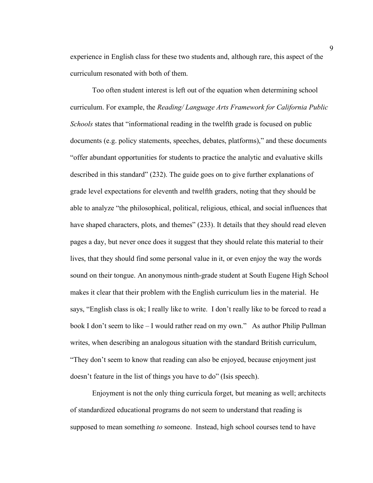experience in English class for these two students and, although rare, this aspect of the curriculum resonated with both of them.

Too often student interest is left out of the equation when determining school curriculum. For example, the *Reading/ Language Arts Framework for California Public Schools* states that "informational reading in the twelfth grade is focused on public documents (e.g. policy statements, speeches, debates, platforms)," and these documents "offer abundant opportunities for students to practice the analytic and evaluative skills described in this standard" (232). The guide goes on to give further explanations of grade level expectations for eleventh and twelfth graders, noting that they should be able to analyze "the philosophical, political, religious, ethical, and social influences that have shaped characters, plots, and themes" (233). It details that they should read eleven pages a day, but never once does it suggest that they should relate this material to their lives, that they should find some personal value in it, or even enjoy the way the words sound on their tongue. An anonymous ninth-grade student at South Eugene High School makes it clear that their problem with the English curriculum lies in the material. He says, "English class is ok; I really like to write. I don't really like to be forced to read a book I don't seem to like – I would rather read on my own." As author Philip Pullman writes, when describing an analogous situation with the standard British curriculum, "They don't seem to know that reading can also be enjoyed, because enjoyment just doesn't feature in the list of things you have to do" (Isis speech).

Enjoyment is not the only thing curricula forget, but meaning as well; architects of standardized educational programs do not seem to understand that reading is supposed to mean something *to* someone. Instead, high school courses tend to have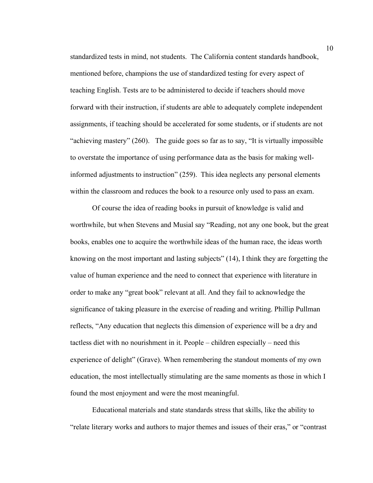standardized tests in mind, not students. The California content standards handbook, mentioned before, champions the use of standardized testing for every aspect of teaching English. Tests are to be administered to decide if teachers should move forward with their instruction, if students are able to adequately complete independent assignments, if teaching should be accelerated for some students, or if students are not "achieving mastery" (260). The guide goes so far as to say, "It is virtually impossible to overstate the importance of using performance data as the basis for making wellinformed adjustments to instruction" (259). This idea neglects any personal elements within the classroom and reduces the book to a resource only used to pass an exam.

Of course the idea of reading books in pursuit of knowledge is valid and worthwhile, but when Stevens and Musial say "Reading, not any one book, but the great books, enables one to acquire the worthwhile ideas of the human race, the ideas worth knowing on the most important and lasting subjects" (14), I think they are forgetting the value of human experience and the need to connect that experience with literature in order to make any "great book" relevant at all. And they fail to acknowledge the significance of taking pleasure in the exercise of reading and writing. Phillip Pullman reflects, "Any education that neglects this dimension of experience will be a dry and tactless diet with no nourishment in it. People – children especially – need this experience of delight" (Grave). When remembering the standout moments of my own education, the most intellectually stimulating are the same moments as those in which I found the most enjoyment and were the most meaningful.

Educational materials and state standards stress that skills, like the ability to "relate literary works and authors to major themes and issues of their eras," or "contrast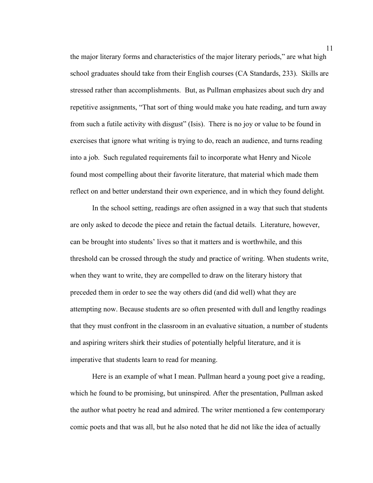the major literary forms and characteristics of the major literary periods," are what high school graduates should take from their English courses (CA Standards, 233). Skills are stressed rather than accomplishments. But, as Pullman emphasizes about such dry and repetitive assignments, "That sort of thing would make you hate reading, and turn away from such a futile activity with disgust" (Isis). There is no joy or value to be found in exercises that ignore what writing is trying to do, reach an audience, and turns reading into a job. Such regulated requirements fail to incorporate what Henry and Nicole found most compelling about their favorite literature, that material which made them reflect on and better understand their own experience, and in which they found delight.

In the school setting, readings are often assigned in a way that such that students are only asked to decode the piece and retain the factual details. Literature, however, can be brought into students' lives so that it matters and is worthwhile, and this threshold can be crossed through the study and practice of writing. When students write, when they want to write, they are compelled to draw on the literary history that preceded them in order to see the way others did (and did well) what they are attempting now. Because students are so often presented with dull and lengthy readings that they must confront in the classroom in an evaluative situation, a number of students and aspiring writers shirk their studies of potentially helpful literature, and it is imperative that students learn to read for meaning.

Here is an example of what I mean. Pullman heard a young poet give a reading, which he found to be promising, but uninspired. After the presentation, Pullman asked the author what poetry he read and admired. The writer mentioned a few contemporary comic poets and that was all, but he also noted that he did not like the idea of actually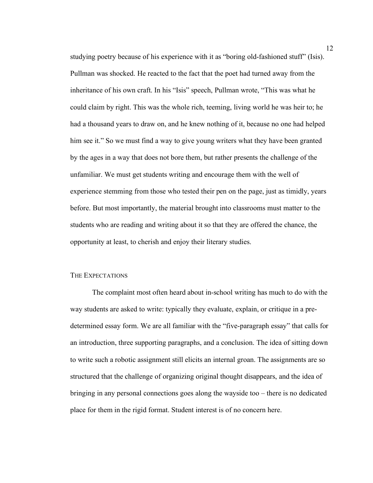studying poetry because of his experience with it as "boring old-fashioned stuff" (Isis). Pullman was shocked. He reacted to the fact that the poet had turned away from the inheritance of his own craft. In his "Isis" speech, Pullman wrote, "This was what he could claim by right. This was the whole rich, teeming, living world he was heir to; he had a thousand years to draw on, and he knew nothing of it, because no one had helped him see it." So we must find a way to give young writers what they have been granted by the ages in a way that does not bore them, but rather presents the challenge of the unfamiliar. We must get students writing and encourage them with the well of experience stemming from those who tested their pen on the page, just as timidly, years before. But most importantly, the material brought into classrooms must matter to the students who are reading and writing about it so that they are offered the chance, the opportunity at least, to cherish and enjoy their literary studies.

## THE EXPECTATIONS

The complaint most often heard about in-school writing has much to do with the way students are asked to write: typically they evaluate, explain, or critique in a predetermined essay form. We are all familiar with the "five-paragraph essay" that calls for an introduction, three supporting paragraphs, and a conclusion. The idea of sitting down to write such a robotic assignment still elicits an internal groan. The assignments are so structured that the challenge of organizing original thought disappears, and the idea of bringing in any personal connections goes along the wayside too – there is no dedicated place for them in the rigid format. Student interest is of no concern here.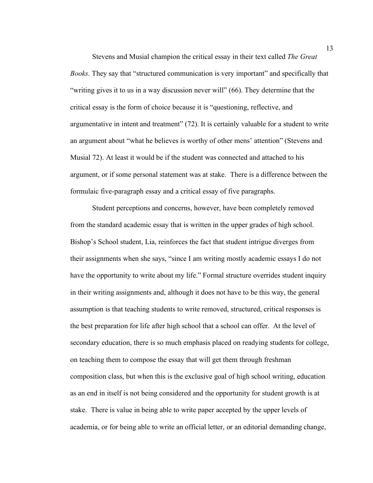Stevens and Musial champion the critical essay in their text called *The Great Books*. They say that "structured communication is very important" and specifically that "writing gives it to us in a way discussion never will" (66). They determine that the critical essay is the form of choice because it is "questioning, reflective, and argumentative in intent and treatment" (72). It is certainly valuable for a student to write an argument about "what he believes is worthy of other mens' attention" (Stevens and Musial 72). At least it would be if the student was connected and attached to his argument, or if some personal statement was at stake. There is a difference between the formulaic five-paragraph essay and a critical essay of five paragraphs.

Student perceptions and concerns, however, have been completely removed from the standard academic essay that is written in the upper grades of high school. Bishop's School student, Lia, reinforces the fact that student intrigue diverges from their assignments when she says, "since I am writing mostly academic essays I do not have the opportunity to write about my life." Formal structure overrides student inquiry in their writing assignments and, although it does not have to be this way, the general assumption is that teaching students to write removed, structured, critical responses is the best preparation for life after high school that a school can offer. At the level of secondary education, there is so much emphasis placed on readying students for college, on teaching them to compose the essay that will get them through freshman composition class, but when this is the exclusive goal of high school writing, education as an end in itself is not being considered and the opportunity for student growth is at stake. There is value in being able to write paper accepted by the upper levels of academia, or for being able to write an official letter, or an editorial demanding change,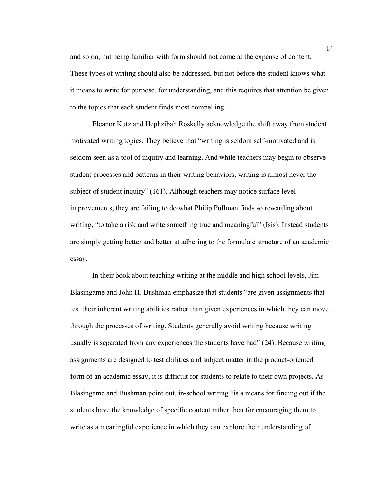and so on, but being familiar with form should not come at the expense of content. These types of writing should also be addressed, but not before the student knows what it means to write for purpose, for understanding, and this requires that attention be given to the topics that each student finds most compelling.

Eleanor Kutz and Hephzibah Roskelly acknowledge the shift away from student motivated writing topics. They believe that "writing is seldom self-motivated and is seldom seen as a tool of inquiry and learning. And while teachers may begin to observe student processes and patterns in their writing behaviors, writing is almost never the subject of student inquiry" (161). Although teachers may notice surface level improvements, they are failing to do what Philip Pullman finds so rewarding about writing, "to take a risk and write something true and meaningful" (Isis). Instead students are simply getting better and better at adhering to the formulaic structure of an academic essay.

In their book about teaching writing at the middle and high school levels, Jim Blasingame and John H. Bushman emphasize that students "are given assignments that test their inherent writing abilities rather than given experiences in which they can move through the processes of writing. Students generally avoid writing because writing usually is separated from any experiences the students have had" (24). Because writing assignments are designed to test abilities and subject matter in the product-oriented form of an academic essay, it is difficult for students to relate to their own projects. As Blasingame and Bushman point out, in-school writing "is a means for finding out if the students have the knowledge of specific content rather then for encouraging them to write as a meaningful experience in which they can explore their understanding of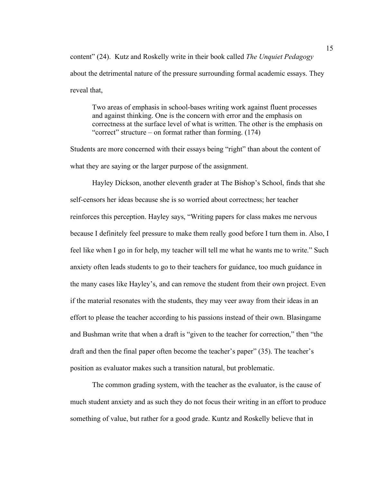content" (24). Kutz and Roskelly write in their book called *The Unquiet Pedagogy* about the detrimental nature of the pressure surrounding formal academic essays. They reveal that,

Two areas of emphasis in school-bases writing work against fluent processes and against thinking. One is the concern with error and the emphasis on correctness at the surface level of what is written. The other is the emphasis on "correct" structure – on format rather than forming. (174)

Students are more concerned with their essays being "right" than about the content of what they are saying or the larger purpose of the assignment.

Hayley Dickson, another eleventh grader at The Bishop's School, finds that she self-censors her ideas because she is so worried about correctness; her teacher reinforces this perception. Hayley says, "Writing papers for class makes me nervous because I definitely feel pressure to make them really good before I turn them in. Also, I feel like when I go in for help, my teacher will tell me what he wants me to write." Such anxiety often leads students to go to their teachers for guidance, too much guidance in the many cases like Hayley's, and can remove the student from their own project. Even if the material resonates with the students, they may veer away from their ideas in an effort to please the teacher according to his passions instead of their own. Blasingame and Bushman write that when a draft is "given to the teacher for correction," then "the draft and then the final paper often become the teacher's paper" (35). The teacher's position as evaluator makes such a transition natural, but problematic.

The common grading system, with the teacher as the evaluator, is the cause of much student anxiety and as such they do not focus their writing in an effort to produce something of value, but rather for a good grade. Kuntz and Roskelly believe that in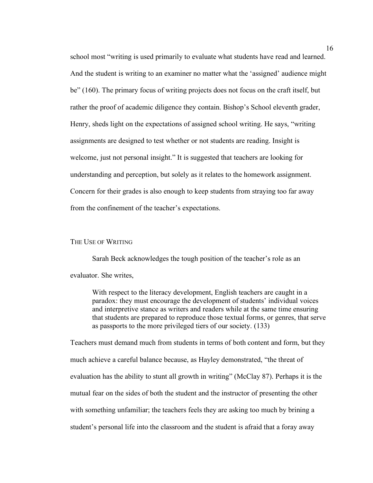school most "writing is used primarily to evaluate what students have read and learned. And the student is writing to an examiner no matter what the 'assigned' audience might be" (160). The primary focus of writing projects does not focus on the craft itself, but rather the proof of academic diligence they contain. Bishop's School eleventh grader, Henry, sheds light on the expectations of assigned school writing. He says, "writing assignments are designed to test whether or not students are reading. Insight is welcome, just not personal insight." It is suggested that teachers are looking for understanding and perception, but solely as it relates to the homework assignment. Concern for their grades is also enough to keep students from straying too far away from the confinement of the teacher's expectations.

### THE USE OF WRITING

Sarah Beck acknowledges the tough position of the teacher's role as an evaluator. She writes,

With respect to the literacy development, English teachers are caught in a paradox: they must encourage the development of students' individual voices and interpretive stance as writers and readers while at the same time ensuring that students are prepared to reproduce those textual forms, or genres, that serve as passports to the more privileged tiers of our society. (133)

Teachers must demand much from students in terms of both content and form, but they much achieve a careful balance because, as Hayley demonstrated, "the threat of evaluation has the ability to stunt all growth in writing" (McClay 87). Perhaps it is the mutual fear on the sides of both the student and the instructor of presenting the other with something unfamiliar; the teachers feels they are asking too much by brining a student's personal life into the classroom and the student is afraid that a foray away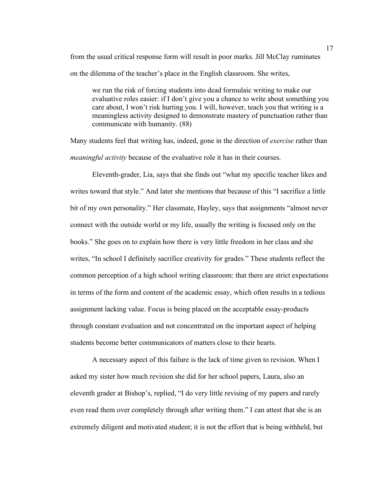from the usual critical response form will result in poor marks. Jill McClay ruminates on the dilemma of the teacher's place in the English classroom. She writes,

we run the risk of forcing students into dead formulaic writing to make our evaluative roles easier: if I don't give you a chance to write about something you care about, I won't risk hurting you. I will, however, teach you that writing is a meaningless activity designed to demonstrate mastery of punctuation rather than communicate with humanity. (88)

Many students feel that writing has, indeed, gone in the direction of *exercise* rather than *meaningful activity* because of the evaluative role it has in their courses.

Eleventh-grader, Lia, says that she finds out "what my specific teacher likes and writes toward that style." And later she mentions that because of this "I sacrifice a little bit of my own personality." Her classmate, Hayley, says that assignments "almost never connect with the outside world or my life, usually the writing is focused only on the books." She goes on to explain how there is very little freedom in her class and she writes, "In school I definitely sacrifice creativity for grades." These students reflect the common perception of a high school writing classroom: that there are strict expectations in terms of the form and content of the academic essay, which often results in a tedious assignment lacking value. Focus is being placed on the acceptable essay-products through constant evaluation and not concentrated on the important aspect of helping students become better communicators of matters close to their hearts.

A necessary aspect of this failure is the lack of time given to revision. When I asked my sister how much revision she did for her school papers, Laura, also an eleventh grader at Bishop's, replied, "I do very little revising of my papers and rarely even read them over completely through after writing them." I can attest that she is an extremely diligent and motivated student; it is not the effort that is being withheld, but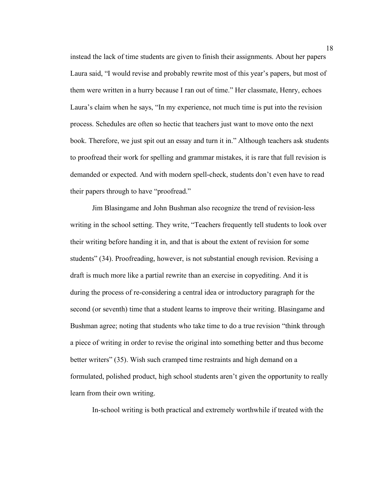instead the lack of time students are given to finish their assignments. About her papers Laura said, "I would revise and probably rewrite most of this year's papers, but most of them were written in a hurry because I ran out of time." Her classmate, Henry, echoes Laura's claim when he says, "In my experience, not much time is put into the revision process. Schedules are often so hectic that teachers just want to move onto the next book. Therefore, we just spit out an essay and turn it in." Although teachers ask students to proofread their work for spelling and grammar mistakes, it is rare that full revision is demanded or expected. And with modern spell-check, students don't even have to read their papers through to have "proofread."

Jim Blasingame and John Bushman also recognize the trend of revision-less writing in the school setting. They write, "Teachers frequently tell students to look over their writing before handing it in, and that is about the extent of revision for some students" (34). Proofreading, however, is not substantial enough revision. Revising a draft is much more like a partial rewrite than an exercise in copyediting. And it is during the process of re-considering a central idea or introductory paragraph for the second (or seventh) time that a student learns to improve their writing. Blasingame and Bushman agree; noting that students who take time to do a true revision "think through a piece of writing in order to revise the original into something better and thus become better writers" (35). Wish such cramped time restraints and high demand on a formulated, polished product, high school students aren't given the opportunity to really learn from their own writing.

In-school writing is both practical and extremely worthwhile if treated with the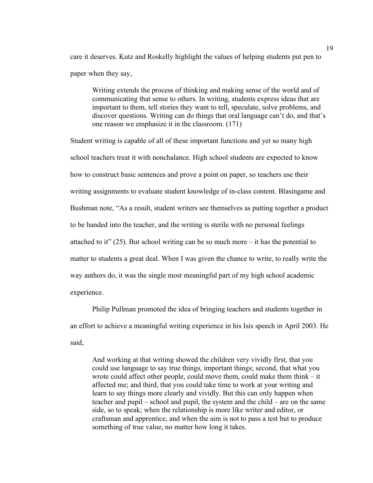care it deserves. Kutz and Roskelly highlight the values of helping students put pen to paper when they say,

Writing extends the process of thinking and making sense of the world and of communicating that sense to others. In writing, students express ideas that are important to them, tell stories they want to tell, speculate, solve problems, and discover questions. Writing can do things that oral language can't do, and that's one reason we emphasize it in the classroom. (171)

Student writing is capable of all of these important functions and yet so many high school teachers treat it with nonchalance. High school students are expected to know how to construct basic sentences and prove a point on paper, so teachers use their writing assignments to evaluate student knowledge of in-class content. Blasingame and Bushman note, "As a result, student writers see themselves as putting together a product to be handed into the teacher, and the writing is sterile with no personal feelings attached to it"  $(25)$ . But school writing can be so much more – it has the potential to matter to students a great deal. When I was given the chance to write, to really write the way authors do, it was the single most meaningful part of my high school academic experience.

Philip Pullman promoted the idea of bringing teachers and students together in an effort to achieve a meaningful writing experience in his Isis speech in April 2003. He said,

And working at that writing showed the children very vividly first, that you could use language to say true things, important things; second, that what you wrote could affect other people, could move them, could make them think – it affected me; and third, that you could take time to work at your writing and learn to say things more clearly and vividly. But this can only happen when teacher and pupil – school and pupil, the system and the child – are on the same side, so to speak; when the relationship is more like writer and editor, or craftsman and apprentice, and when the aim is not to pass a test but to produce something of true value, no matter how long it takes.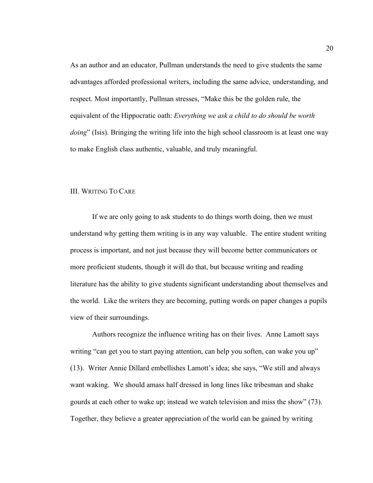As an author and an educator, Pullman understands the need to give students the same advantages afforded professional writers, including the same advice, understanding, and respect. Most importantly, Pullman stresses, "Make this be the golden rule, the equivalent of the Hippocratic oath: *Everything we ask a child to do should be worth doing*" (Isis). Bringing the writing life into the high school classroom is at least one way to make English class authentic, valuable, and truly meaningful.

# III. WRITING TO CARE

If we are only going to ask students to do things worth doing, then we must understand why getting them writing is in any way valuable. The entire student writing process is important, and not just because they will become better communicators or more proficient students, though it will do that, but because writing and reading literature has the ability to give students significant understanding about themselves and the world. Like the writers they are becoming, putting words on paper changes a pupils view of their surroundings.

Authors recognize the influence writing has on their lives. Anne Lamott says writing "can get you to start paying attention, can help you soften, can wake you up" (13). Writer Annie Dillard embellishes Lamott's idea; she says, "We still and always want waking. We should amass half dressed in long lines like tribesman and shake gourds at each other to wake up; instead we watch television and miss the show" (73). Together, they believe a greater appreciation of the world can be gained by writing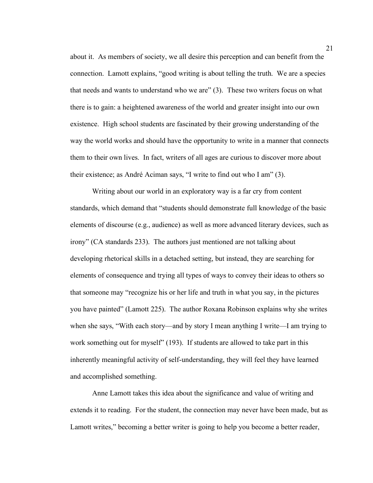about it. As members of society, we all desire this perception and can benefit from the connection. Lamott explains, "good writing is about telling the truth. We are a species that needs and wants to understand who we are" (3). These two writers focus on what there is to gain: a heightened awareness of the world and greater insight into our own existence. High school students are fascinated by their growing understanding of the way the world works and should have the opportunity to write in a manner that connects them to their own lives. In fact, writers of all ages are curious to discover more about their existence; as André Aciman says, "I write to find out who I am" (3).

Writing about our world in an exploratory way is a far cry from content standards, which demand that "students should demonstrate full knowledge of the basic elements of discourse (e.g., audience) as well as more advanced literary devices, such as irony" (CA standards 233). The authors just mentioned are not talking about developing rhetorical skills in a detached setting, but instead, they are searching for elements of consequence and trying all types of ways to convey their ideas to others so that someone may "recognize his or her life and truth in what you say, in the pictures you have painted" (Lamott 225). The author Roxana Robinson explains why she writes when she says, "With each story—and by story I mean anything I write—I am trying to work something out for myself" (193). If students are allowed to take part in this inherently meaningful activity of self-understanding, they will feel they have learned and accomplished something.

Anne Lamott takes this idea about the significance and value of writing and extends it to reading. For the student, the connection may never have been made, but as Lamott writes," becoming a better writer is going to help you become a better reader,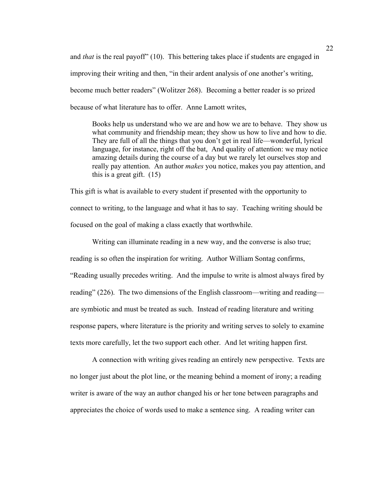and *that* is the real payoff" (10). This bettering takes place if students are engaged in improving their writing and then, "in their ardent analysis of one another's writing, become much better readers" (Wolitzer 268). Becoming a better reader is so prized because of what literature has to offer. Anne Lamott writes,

Books help us understand who we are and how we are to behave. They show us what community and friendship mean; they show us how to live and how to die. They are full of all the things that you don't get in real life—wonderful, lyrical language, for instance, right off the bat, And quality of attention: we may notice amazing details during the course of a day but we rarely let ourselves stop and really pay attention. An author *makes* you notice, makes you pay attention, and this is a great gift.  $(15)$ 

This gift is what is available to every student if presented with the opportunity to connect to writing, to the language and what it has to say. Teaching writing should be focused on the goal of making a class exactly that worthwhile.

Writing can illuminate reading in a new way, and the converse is also true; reading is so often the inspiration for writing. Author William Sontag confirms, "Reading usually precedes writing. And the impulse to write is almost always fired by reading" (226). The two dimensions of the English classroom—writing and reading are symbiotic and must be treated as such. Instead of reading literature and writing response papers, where literature is the priority and writing serves to solely to examine texts more carefully, let the two support each other. And let writing happen first.

A connection with writing gives reading an entirely new perspective. Texts are no longer just about the plot line, or the meaning behind a moment of irony; a reading writer is aware of the way an author changed his or her tone between paragraphs and appreciates the choice of words used to make a sentence sing. A reading writer can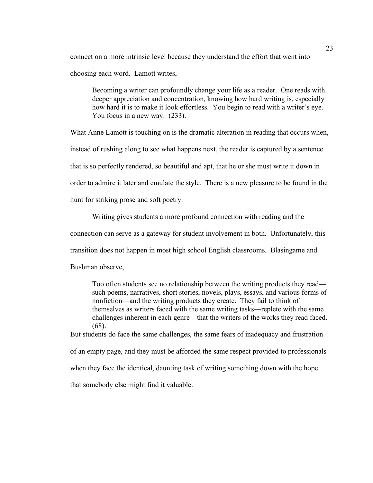connect on a more intrinsic level because they understand the effort that went into choosing each word. Lamott writes,

Becoming a writer can profoundly change your life as a reader. One reads with deeper appreciation and concentration, knowing how hard writing is, especially how hard it is to make it look effortless. You begin to read with a writer's eye. You focus in a new way. (233).

What Anne Lamott is touching on is the dramatic alteration in reading that occurs when, instead of rushing along to see what happens next, the reader is captured by a sentence that is so perfectly rendered, so beautiful and apt, that he or she must write it down in order to admire it later and emulate the style. There is a new pleasure to be found in the hunt for striking prose and soft poetry.

Writing gives students a more profound connection with reading and the connection can serve as a gateway for student involvement in both. Unfortunately, this transition does not happen in most high school English classrooms. Blasingame and Bushman observe,

Too often students see no relationship between the writing products they read such poems, narratives, short stories, novels, plays, essays, and various forms of nonfiction—and the writing products they create. They fail to think of themselves as writers faced with the same writing tasks—replete with the same challenges inherent in each genre—that the writers of the works they read faced. (68).

But students do face the same challenges, the same fears of inadequacy and frustration of an empty page, and they must be afforded the same respect provided to professionals when they face the identical, daunting task of writing something down with the hope that somebody else might find it valuable.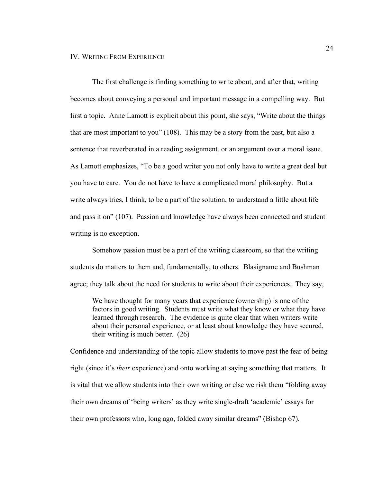The first challenge is finding something to write about, and after that, writing becomes about conveying a personal and important message in a compelling way. But first a topic. Anne Lamott is explicit about this point, she says, "Write about the things that are most important to you" (108). This may be a story from the past, but also a sentence that reverberated in a reading assignment, or an argument over a moral issue. As Lamott emphasizes, "To be a good writer you not only have to write a great deal but you have to care. You do not have to have a complicated moral philosophy. But a write always tries, I think, to be a part of the solution, to understand a little about life and pass it on" (107). Passion and knowledge have always been connected and student writing is no exception.

Somehow passion must be a part of the writing classroom, so that the writing students do matters to them and, fundamentally, to others. Blasigname and Bushman agree; they talk about the need for students to write about their experiences. They say,

We have thought for many years that experience (ownership) is one of the factors in good writing. Students must write what they know or what they have learned through research. The evidence is quite clear that when writers write about their personal experience, or at least about knowledge they have secured, their writing is much better. (26)

Confidence and understanding of the topic allow students to move past the fear of being right (since it's *their* experience) and onto working at saying something that matters. It is vital that we allow students into their own writing or else we risk them "folding away their own dreams of 'being writers' as they write single-draft 'academic' essays for their own professors who, long ago, folded away similar dreams" (Bishop 67).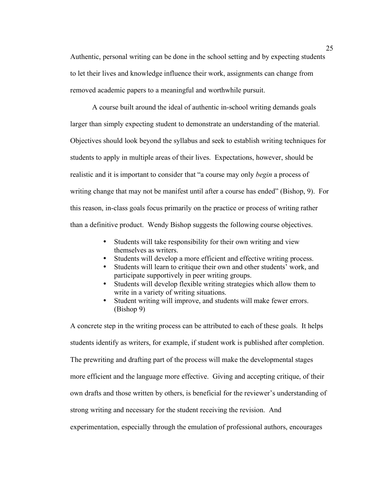Authentic, personal writing can be done in the school setting and by expecting students to let their lives and knowledge influence their work, assignments can change from removed academic papers to a meaningful and worthwhile pursuit.

A course built around the ideal of authentic in-school writing demands goals larger than simply expecting student to demonstrate an understanding of the material. Objectives should look beyond the syllabus and seek to establish writing techniques for students to apply in multiple areas of their lives. Expectations, however, should be realistic and it is important to consider that "a course may only *begin* a process of writing change that may not be manifest until after a course has ended" (Bishop, 9). For this reason, in-class goals focus primarily on the practice or process of writing rather than a definitive product. Wendy Bishop suggests the following course objectives.

- Students will take responsibility for their own writing and view themselves as writers.
- Students will develop a more efficient and effective writing process.
- Students will learn to critique their own and other students' work, and participate supportively in peer writing groups.
- Students will develop flexible writing strategies which allow them to write in a variety of writing situations.
- Student writing will improve, and students will make fewer errors. (Bishop 9)

A concrete step in the writing process can be attributed to each of these goals. It helps students identify as writers, for example, if student work is published after completion. The prewriting and drafting part of the process will make the developmental stages more efficient and the language more effective. Giving and accepting critique, of their own drafts and those written by others, is beneficial for the reviewer's understanding of strong writing and necessary for the student receiving the revision. And experimentation, especially through the emulation of professional authors, encourages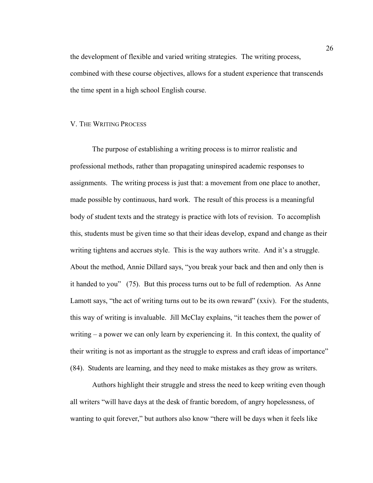the development of flexible and varied writing strategies. The writing process, combined with these course objectives, allows for a student experience that transcends the time spent in a high school English course.

### V. THE WRITING PROCESS

The purpose of establishing a writing process is to mirror realistic and professional methods, rather than propagating uninspired academic responses to assignments. The writing process is just that: a movement from one place to another, made possible by continuous, hard work. The result of this process is a meaningful body of student texts and the strategy is practice with lots of revision. To accomplish this, students must be given time so that their ideas develop, expand and change as their writing tightens and accrues style. This is the way authors write. And it's a struggle. About the method, Annie Dillard says, "you break your back and then and only then is it handed to you" (75). But this process turns out to be full of redemption. As Anne Lamott says, "the act of writing turns out to be its own reward" (xxiv). For the students, this way of writing is invaluable. Jill McClay explains, "it teaches them the power of writing – a power we can only learn by experiencing it. In this context, the quality of their writing is not as important as the struggle to express and craft ideas of importance" (84). Students are learning, and they need to make mistakes as they grow as writers.

Authors highlight their struggle and stress the need to keep writing even though all writers "will have days at the desk of frantic boredom, of angry hopelessness, of wanting to quit forever," but authors also know "there will be days when it feels like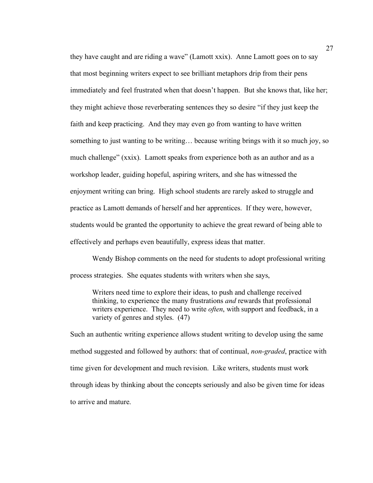they have caught and are riding a wave" (Lamott xxix). Anne Lamott goes on to say that most beginning writers expect to see brilliant metaphors drip from their pens immediately and feel frustrated when that doesn't happen. But she knows that, like her; they might achieve those reverberating sentences they so desire "if they just keep the faith and keep practicing. And they may even go from wanting to have written something to just wanting to be writing… because writing brings with it so much joy, so much challenge" (xxix). Lamott speaks from experience both as an author and as a workshop leader, guiding hopeful, aspiring writers, and she has witnessed the enjoyment writing can bring. High school students are rarely asked to struggle and practice as Lamott demands of herself and her apprentices. If they were, however, students would be granted the opportunity to achieve the great reward of being able to effectively and perhaps even beautifully, express ideas that matter.

Wendy Bishop comments on the need for students to adopt professional writing process strategies. She equates students with writers when she says,

Writers need time to explore their ideas, to push and challenge received thinking, to experience the many frustrations *and* rewards that professional writers experience. They need to write *often*, with support and feedback, in a variety of genres and styles. (47)

Such an authentic writing experience allows student writing to develop using the same method suggested and followed by authors: that of continual, *non-graded*, practice with time given for development and much revision. Like writers, students must work through ideas by thinking about the concepts seriously and also be given time for ideas to arrive and mature.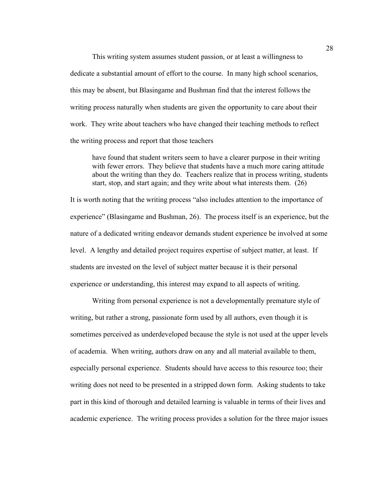This writing system assumes student passion, or at least a willingness to dedicate a substantial amount of effort to the course. In many high school scenarios, this may be absent, but Blasingame and Bushman find that the interest follows the writing process naturally when students are given the opportunity to care about their work. They write about teachers who have changed their teaching methods to reflect the writing process and report that those teachers

have found that student writers seem to have a clearer purpose in their writing with fewer errors. They believe that students have a much more caring attitude about the writing than they do. Teachers realize that in process writing, students start, stop, and start again; and they write about what interests them. (26)

It is worth noting that the writing process "also includes attention to the importance of experience" (Blasingame and Bushman, 26). The process itself is an experience, but the nature of a dedicated writing endeavor demands student experience be involved at some level. A lengthy and detailed project requires expertise of subject matter, at least. If students are invested on the level of subject matter because it is their personal experience or understanding, this interest may expand to all aspects of writing.

Writing from personal experience is not a developmentally premature style of writing, but rather a strong, passionate form used by all authors, even though it is sometimes perceived as underdeveloped because the style is not used at the upper levels of academia. When writing, authors draw on any and all material available to them, especially personal experience. Students should have access to this resource too; their writing does not need to be presented in a stripped down form. Asking students to take part in this kind of thorough and detailed learning is valuable in terms of their lives and academic experience. The writing process provides a solution for the three major issues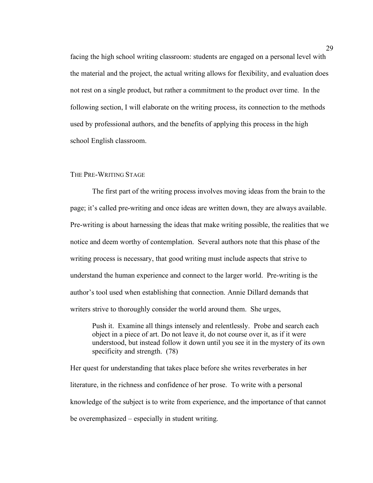facing the high school writing classroom: students are engaged on a personal level with the material and the project, the actual writing allows for flexibility, and evaluation does not rest on a single product, but rather a commitment to the product over time. In the following section, I will elaborate on the writing process, its connection to the methods used by professional authors, and the benefits of applying this process in the high school English classroom.

# THE PRE-WRITING STAGE

The first part of the writing process involves moving ideas from the brain to the page; it's called pre-writing and once ideas are written down, they are always available. Pre-writing is about harnessing the ideas that make writing possible, the realities that we notice and deem worthy of contemplation. Several authors note that this phase of the writing process is necessary, that good writing must include aspects that strive to understand the human experience and connect to the larger world. Pre-writing is the author's tool used when establishing that connection. Annie Dillard demands that writers strive to thoroughly consider the world around them. She urges,

Push it. Examine all things intensely and relentlessly. Probe and search each object in a piece of art. Do not leave it, do not course over it, as if it were understood, but instead follow it down until you see it in the mystery of its own specificity and strength. (78)

Her quest for understanding that takes place before she writes reverberates in her literature, in the richness and confidence of her prose. To write with a personal knowledge of the subject is to write from experience, and the importance of that cannot be overemphasized – especially in student writing.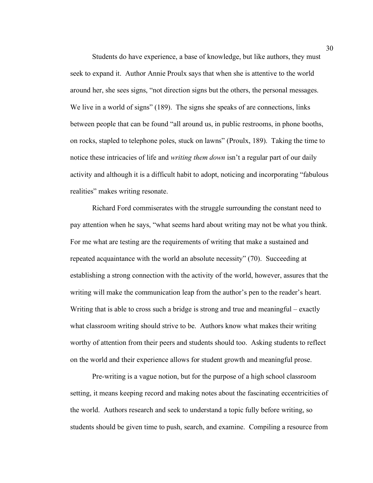Students do have experience, a base of knowledge, but like authors, they must seek to expand it. Author Annie Proulx says that when she is attentive to the world around her, she sees signs, "not direction signs but the others, the personal messages. We live in a world of signs" (189). The signs she speaks of are connections, links between people that can be found "all around us, in public restrooms, in phone booths, on rocks, stapled to telephone poles, stuck on lawns" (Proulx, 189). Taking the time to notice these intricacies of life and *writing them down* isn't a regular part of our daily activity and although it is a difficult habit to adopt, noticing and incorporating "fabulous realities" makes writing resonate.

Richard Ford commiserates with the struggle surrounding the constant need to pay attention when he says, "what seems hard about writing may not be what you think. For me what are testing are the requirements of writing that make a sustained and repeated acquaintance with the world an absolute necessity" (70). Succeeding at establishing a strong connection with the activity of the world, however, assures that the writing will make the communication leap from the author's pen to the reader's heart. Writing that is able to cross such a bridge is strong and true and meaningful – exactly what classroom writing should strive to be. Authors know what makes their writing worthy of attention from their peers and students should too. Asking students to reflect on the world and their experience allows for student growth and meaningful prose.

Pre-writing is a vague notion, but for the purpose of a high school classroom setting, it means keeping record and making notes about the fascinating eccentricities of the world. Authors research and seek to understand a topic fully before writing, so students should be given time to push, search, and examine. Compiling a resource from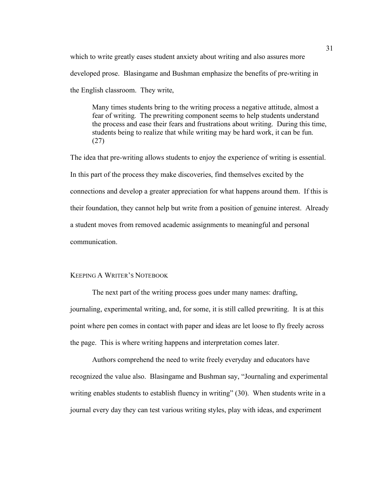which to write greatly eases student anxiety about writing and also assures more developed prose. Blasingame and Bushman emphasize the benefits of pre-writing in the English classroom. They write,

Many times students bring to the writing process a negative attitude, almost a fear of writing. The prewriting component seems to help students understand the process and ease their fears and frustrations about writing. During this time, students being to realize that while writing may be hard work, it can be fun. (27)

The idea that pre-writing allows students to enjoy the experience of writing is essential. In this part of the process they make discoveries, find themselves excited by the connections and develop a greater appreciation for what happens around them. If this is their foundation, they cannot help but write from a position of genuine interest. Already a student moves from removed academic assignments to meaningful and personal communication.

# KEEPING A WRITER'S NOTEBOOK

The next part of the writing process goes under many names: drafting, journaling, experimental writing, and, for some, it is still called prewriting. It is at this point where pen comes in contact with paper and ideas are let loose to fly freely across the page. This is where writing happens and interpretation comes later.

Authors comprehend the need to write freely everyday and educators have recognized the value also. Blasingame and Bushman say, "Journaling and experimental writing enables students to establish fluency in writing" (30). When students write in a journal every day they can test various writing styles, play with ideas, and experiment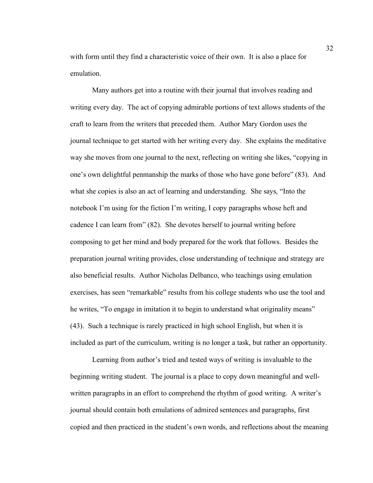with form until they find a characteristic voice of their own. It is also a place for emulation.

Many authors get into a routine with their journal that involves reading and writing every day. The act of copying admirable portions of text allows students of the craft to learn from the writers that preceded them. Author Mary Gordon uses the journal technique to get started with her writing every day. She explains the meditative way she moves from one journal to the next, reflecting on writing she likes, "copying in one's own delightful penmanship the marks of those who have gone before" (83). And what she copies is also an act of learning and understanding. She says, "Into the notebook I'm using for the fiction I'm writing, I copy paragraphs whose heft and cadence I can learn from" (82). She devotes herself to journal writing before composing to get her mind and body prepared for the work that follows. Besides the preparation journal writing provides, close understanding of technique and strategy are also beneficial results. Author Nicholas Delbanco, who teachings using emulation exercises, has seen "remarkable" results from his college students who use the tool and he writes, "To engage in imitation it to begin to understand what originality means" (43). Such a technique is rarely practiced in high school English, but when it is included as part of the curriculum, writing is no longer a task, but rather an opportunity.

Learning from author's tried and tested ways of writing is invaluable to the beginning writing student. The journal is a place to copy down meaningful and wellwritten paragraphs in an effort to comprehend the rhythm of good writing. A writer's journal should contain both emulations of admired sentences and paragraphs, first copied and then practiced in the student's own words, and reflections about the meaning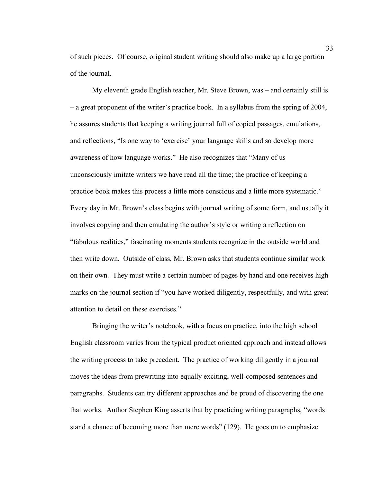of such pieces. Of course, original student writing should also make up a large portion of the journal.

My eleventh grade English teacher, Mr. Steve Brown, was – and certainly still is – a great proponent of the writer's practice book. In a syllabus from the spring of 2004, he assures students that keeping a writing journal full of copied passages, emulations, and reflections, "Is one way to 'exercise' your language skills and so develop more awareness of how language works." He also recognizes that "Many of us unconsciously imitate writers we have read all the time; the practice of keeping a practice book makes this process a little more conscious and a little more systematic." Every day in Mr. Brown's class begins with journal writing of some form, and usually it involves copying and then emulating the author's style or writing a reflection on "fabulous realities," fascinating moments students recognize in the outside world and then write down. Outside of class, Mr. Brown asks that students continue similar work on their own. They must write a certain number of pages by hand and one receives high marks on the journal section if "you have worked diligently, respectfully, and with great attention to detail on these exercises."

Bringing the writer's notebook, with a focus on practice, into the high school English classroom varies from the typical product oriented approach and instead allows the writing process to take precedent. The practice of working diligently in a journal moves the ideas from prewriting into equally exciting, well-composed sentences and paragraphs. Students can try different approaches and be proud of discovering the one that works. Author Stephen King asserts that by practicing writing paragraphs, "words stand a chance of becoming more than mere words" (129). He goes on to emphasize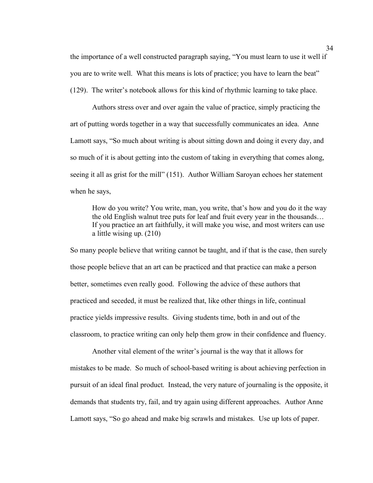the importance of a well constructed paragraph saying, "You must learn to use it well if you are to write well. What this means is lots of practice; you have to learn the beat" (129). The writer's notebook allows for this kind of rhythmic learning to take place.

Authors stress over and over again the value of practice, simply practicing the art of putting words together in a way that successfully communicates an idea. Anne Lamott says, "So much about writing is about sitting down and doing it every day, and so much of it is about getting into the custom of taking in everything that comes along, seeing it all as grist for the mill" (151). Author William Saroyan echoes her statement when he says,

How do you write? You write, man, you write, that's how and you do it the way the old English walnut tree puts for leaf and fruit every year in the thousands… If you practice an art faithfully, it will make you wise, and most writers can use a little wising up. (210)

So many people believe that writing cannot be taught, and if that is the case, then surely those people believe that an art can be practiced and that practice can make a person better, sometimes even really good. Following the advice of these authors that practiced and seceded, it must be realized that, like other things in life, continual practice yields impressive results. Giving students time, both in and out of the classroom, to practice writing can only help them grow in their confidence and fluency.

Another vital element of the writer's journal is the way that it allows for mistakes to be made. So much of school-based writing is about achieving perfection in pursuit of an ideal final product. Instead, the very nature of journaling is the opposite, it demands that students try, fail, and try again using different approaches. Author Anne Lamott says, "So go ahead and make big scrawls and mistakes. Use up lots of paper.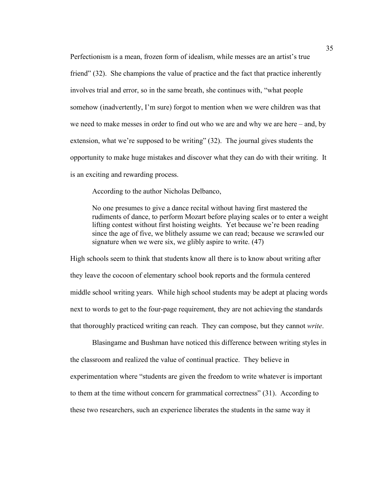Perfectionism is a mean, frozen form of idealism, while messes are an artist's true friend" (32). She champions the value of practice and the fact that practice inherently involves trial and error, so in the same breath, she continues with, "what people somehow (inadvertently, I'm sure) forgot to mention when we were children was that we need to make messes in order to find out who we are and why we are here – and, by extension, what we're supposed to be writing" (32). The journal gives students the opportunity to make huge mistakes and discover what they can do with their writing. It is an exciting and rewarding process.

According to the author Nicholas Delbanco,

No one presumes to give a dance recital without having first mastered the rudiments of dance, to perform Mozart before playing scales or to enter a weight lifting contest without first hoisting weights. Yet because we're been reading since the age of five, we blithely assume we can read; because we scrawled our signature when we were six, we glibly aspire to write. (47)

High schools seem to think that students know all there is to know about writing after they leave the cocoon of elementary school book reports and the formula centered middle school writing years. While high school students may be adept at placing words next to words to get to the four-page requirement, they are not achieving the standards that thoroughly practiced writing can reach. They can compose, but they cannot *write*.

Blasingame and Bushman have noticed this difference between writing styles in the classroom and realized the value of continual practice. They believe in experimentation where "students are given the freedom to write whatever is important to them at the time without concern for grammatical correctness" (31). According to these two researchers, such an experience liberates the students in the same way it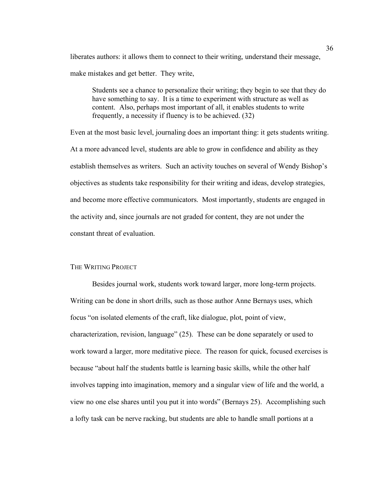liberates authors: it allows them to connect to their writing, understand their message, make mistakes and get better. They write,

Students see a chance to personalize their writing; they begin to see that they do have something to say. It is a time to experiment with structure as well as content. Also, perhaps most important of all, it enables students to write frequently, a necessity if fluency is to be achieved. (32)

Even at the most basic level, journaling does an important thing: it gets students writing. At a more advanced level, students are able to grow in confidence and ability as they establish themselves as writers. Such an activity touches on several of Wendy Bishop's objectives as students take responsibility for their writing and ideas, develop strategies, and become more effective communicators. Most importantly, students are engaged in the activity and, since journals are not graded for content, they are not under the constant threat of evaluation.

### THE WRITING PROJECT

Besides journal work, students work toward larger, more long-term projects. Writing can be done in short drills, such as those author Anne Bernays uses, which focus "on isolated elements of the craft, like dialogue, plot, point of view, characterization, revision, language" (25). These can be done separately or used to work toward a larger, more meditative piece. The reason for quick, focused exercises is because "about half the students battle is learning basic skills, while the other half involves tapping into imagination, memory and a singular view of life and the world, a view no one else shares until you put it into words" (Bernays 25). Accomplishing such a lofty task can be nerve racking, but students are able to handle small portions at a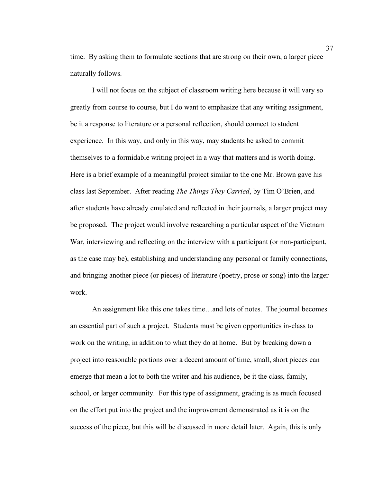time. By asking them to formulate sections that are strong on their own, a larger piece naturally follows.

I will not focus on the subject of classroom writing here because it will vary so greatly from course to course, but I do want to emphasize that any writing assignment, be it a response to literature or a personal reflection, should connect to student experience. In this way, and only in this way, may students be asked to commit themselves to a formidable writing project in a way that matters and is worth doing. Here is a brief example of a meaningful project similar to the one Mr. Brown gave his class last September. After reading *The Things They Carried*, by Tim O'Brien, and after students have already emulated and reflected in their journals, a larger project may be proposed. The project would involve researching a particular aspect of the Vietnam War, interviewing and reflecting on the interview with a participant (or non-participant, as the case may be), establishing and understanding any personal or family connections, and bringing another piece (or pieces) of literature (poetry, prose or song) into the larger work.

An assignment like this one takes time…and lots of notes. The journal becomes an essential part of such a project. Students must be given opportunities in-class to work on the writing, in addition to what they do at home. But by breaking down a project into reasonable portions over a decent amount of time, small, short pieces can emerge that mean a lot to both the writer and his audience, be it the class, family, school, or larger community. For this type of assignment, grading is as much focused on the effort put into the project and the improvement demonstrated as it is on the success of the piece, but this will be discussed in more detail later. Again, this is only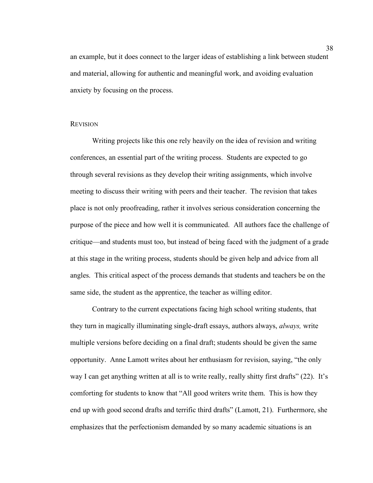an example, but it does connect to the larger ideas of establishing a link between student and material, allowing for authentic and meaningful work, and avoiding evaluation anxiety by focusing on the process.

### **REVISION**

Writing projects like this one rely heavily on the idea of revision and writing conferences, an essential part of the writing process. Students are expected to go through several revisions as they develop their writing assignments, which involve meeting to discuss their writing with peers and their teacher. The revision that takes place is not only proofreading, rather it involves serious consideration concerning the purpose of the piece and how well it is communicated. All authors face the challenge of critique—and students must too, but instead of being faced with the judgment of a grade at this stage in the writing process, students should be given help and advice from all angles. This critical aspect of the process demands that students and teachers be on the same side, the student as the apprentice, the teacher as willing editor.

Contrary to the current expectations facing high school writing students, that they turn in magically illuminating single-draft essays, authors always, *always,* write multiple versions before deciding on a final draft; students should be given the same opportunity. Anne Lamott writes about her enthusiasm for revision, saying, "the only way I can get anything written at all is to write really, really shitty first drafts" (22). It's comforting for students to know that "All good writers write them. This is how they end up with good second drafts and terrific third drafts" (Lamott, 21). Furthermore, she emphasizes that the perfectionism demanded by so many academic situations is an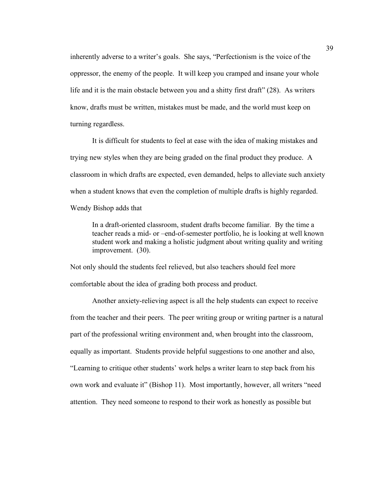inherently adverse to a writer's goals. She says, "Perfectionism is the voice of the oppressor, the enemy of the people. It will keep you cramped and insane your whole life and it is the main obstacle between you and a shitty first draft" (28). As writers know, drafts must be written, mistakes must be made, and the world must keep on turning regardless.

It is difficult for students to feel at ease with the idea of making mistakes and trying new styles when they are being graded on the final product they produce. A classroom in which drafts are expected, even demanded, helps to alleviate such anxiety when a student knows that even the completion of multiple drafts is highly regarded. Wendy Bishop adds that

In a draft-oriented classroom, student drafts become familiar. By the time a teacher reads a mid- or –end-of-semester portfolio, he is looking at well known student work and making a holistic judgment about writing quality and writing improvement. (30).

Not only should the students feel relieved, but also teachers should feel more comfortable about the idea of grading both process and product.

Another anxiety-relieving aspect is all the help students can expect to receive from the teacher and their peers. The peer writing group or writing partner is a natural part of the professional writing environment and, when brought into the classroom, equally as important. Students provide helpful suggestions to one another and also, "Learning to critique other students' work helps a writer learn to step back from his own work and evaluate it" (Bishop 11). Most importantly, however, all writers "need attention. They need someone to respond to their work as honestly as possible but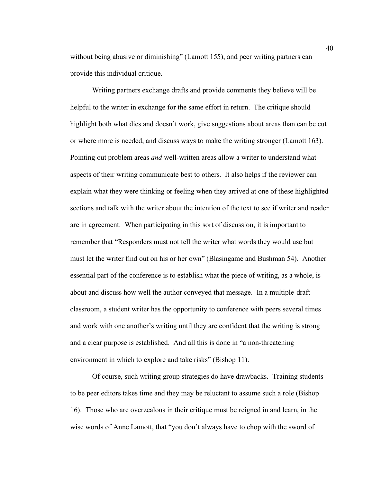without being abusive or diminishing" (Lamott 155), and peer writing partners can provide this individual critique.

Writing partners exchange drafts and provide comments they believe will be helpful to the writer in exchange for the same effort in return. The critique should highlight both what dies and doesn't work, give suggestions about areas than can be cut or where more is needed, and discuss ways to make the writing stronger (Lamott 163). Pointing out problem areas *and* well-written areas allow a writer to understand what aspects of their writing communicate best to others. It also helps if the reviewer can explain what they were thinking or feeling when they arrived at one of these highlighted sections and talk with the writer about the intention of the text to see if writer and reader are in agreement. When participating in this sort of discussion, it is important to remember that "Responders must not tell the writer what words they would use but must let the writer find out on his or her own" (Blasingame and Bushman 54). Another essential part of the conference is to establish what the piece of writing, as a whole, is about and discuss how well the author conveyed that message. In a multiple-draft classroom, a student writer has the opportunity to conference with peers several times and work with one another's writing until they are confident that the writing is strong and a clear purpose is established. And all this is done in "a non-threatening environment in which to explore and take risks" (Bishop 11).

Of course, such writing group strategies do have drawbacks. Training students to be peer editors takes time and they may be reluctant to assume such a role (Bishop 16). Those who are overzealous in their critique must be reigned in and learn, in the wise words of Anne Lamott, that "you don't always have to chop with the sword of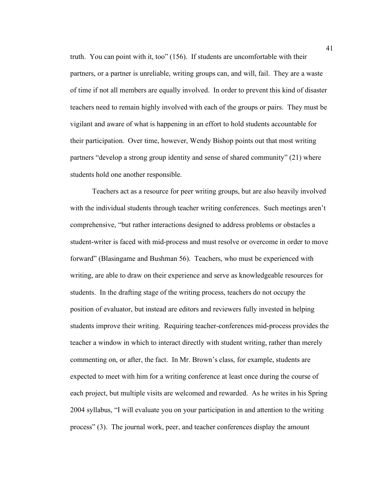truth. You can point with it, too" (156). If students are uncomfortable with their partners, or a partner is unreliable, writing groups can, and will, fail. They are a waste of time if not all members are equally involved. In order to prevent this kind of disaster teachers need to remain highly involved with each of the groups or pairs. They must be vigilant and aware of what is happening in an effort to hold students accountable for their participation. Over time, however, Wendy Bishop points out that most writing partners "develop a strong group identity and sense of shared community" (21) where students hold one another responsible.

Teachers act as a resource for peer writing groups, but are also heavily involved with the individual students through teacher writing conferences. Such meetings aren't comprehensive, "but rather interactions designed to address problems or obstacles a student-writer is faced with mid-process and must resolve or overcome in order to move forward" (Blasingame and Bushman 56). Teachers, who must be experienced with writing, are able to draw on their experience and serve as knowledgeable resources for students. In the drafting stage of the writing process, teachers do not occupy the position of evaluator, but instead are editors and reviewers fully invested in helping students improve their writing. Requiring teacher-conferences mid-process provides the teacher a window in which to interact directly with student writing, rather than merely commenting on, or after, the fact. In Mr. Brown's class, for example, students are expected to meet with him for a writing conference at least once during the course of each project, but multiple visits are welcomed and rewarded. As he writes in his Spring 2004 syllabus, "I will evaluate you on your participation in and attention to the writing process" (3). The journal work, peer, and teacher conferences display the amount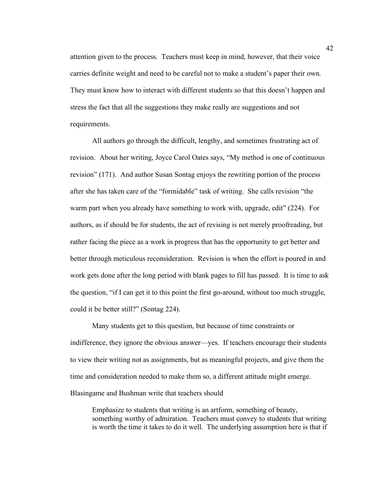attention given to the process. Teachers must keep in mind, however, that their voice carries definite weight and need to be careful not to make a student's paper their own. They must know how to interact with different students so that this doesn't happen and stress the fact that all the suggestions they make really are suggestions and not requirements.

All authors go through the difficult, lengthy, and sometimes frustrating act of revision. About her writing, Joyce Carol Oates says, "My method is one of continuous revision" (171). And author Susan Sontag enjoys the rewriting portion of the process after she has taken care of the "formidable" task of writing. She calls revision "the warm part when you already have something to work with, upgrade, edit" (224). For authors, as if should be for students, the act of revising is not merely proofreading, but rather facing the piece as a work in progress that has the opportunity to get better and better through meticulous reconsideration. Revision is when the effort is poured in and work gets done after the long period with blank pages to fill has passed. It is time to ask the question, "if I can get it to this point the first go-around, without too much struggle, could it be better still?" (Sontag 224).

Many students get to this question, but because of time constraints or indifference, they ignore the obvious answer—yes. If teachers encourage their students to view their writing not as assignments, but as meaningful projects, and give them the time and consideration needed to make them so, a different attitude might emerge. Blasingame and Bushman write that teachers should

Emphasize to students that writing is an artform, something of beauty, something worthy of admiration. Teachers must convey to students that writing is worth the time it takes to do it well. The underlying assumption here is that if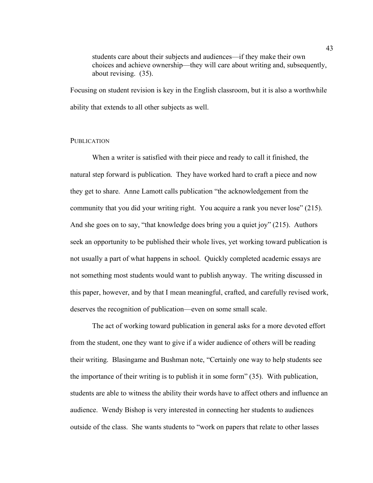students care about their subjects and audiences—if they make their own choices and achieve ownership—they will care about writing and, subsequently, about revising. (35).

Focusing on student revision is key in the English classroom, but it is also a worthwhile ability that extends to all other subjects as well.

## **PUBLICATION**

When a writer is satisfied with their piece and ready to call it finished, the natural step forward is publication. They have worked hard to craft a piece and now they get to share. Anne Lamott calls publication "the acknowledgement from the community that you did your writing right. You acquire a rank you never lose" (215). And she goes on to say, "that knowledge does bring you a quiet joy" (215). Authors seek an opportunity to be published their whole lives, yet working toward publication is not usually a part of what happens in school. Quickly completed academic essays are not something most students would want to publish anyway. The writing discussed in this paper, however, and by that I mean meaningful, crafted, and carefully revised work, deserves the recognition of publication—even on some small scale.

The act of working toward publication in general asks for a more devoted effort from the student, one they want to give if a wider audience of others will be reading their writing. Blasingame and Bushman note, "Certainly one way to help students see the importance of their writing is to publish it in some form" (35). With publication, students are able to witness the ability their words have to affect others and influence an audience. Wendy Bishop is very interested in connecting her students to audiences outside of the class. She wants students to "work on papers that relate to other lasses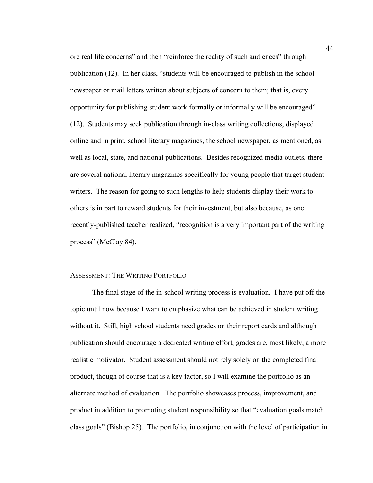ore real life concerns" and then "reinforce the reality of such audiences" through publication (12). In her class, "students will be encouraged to publish in the school newspaper or mail letters written about subjects of concern to them; that is, every opportunity for publishing student work formally or informally will be encouraged" (12). Students may seek publication through in-class writing collections, displayed online and in print, school literary magazines, the school newspaper, as mentioned, as well as local, state, and national publications. Besides recognized media outlets, there are several national literary magazines specifically for young people that target student writers. The reason for going to such lengths to help students display their work to others is in part to reward students for their investment, but also because, as one recently-published teacher realized, "recognition is a very important part of the writing process" (McClay 84).

### ASSESSMENT: THE WRITING PORTFOLIO

The final stage of the in-school writing process is evaluation. I have put off the topic until now because I want to emphasize what can be achieved in student writing without it. Still, high school students need grades on their report cards and although publication should encourage a dedicated writing effort, grades are, most likely, a more realistic motivator. Student assessment should not rely solely on the completed final product, though of course that is a key factor, so I will examine the portfolio as an alternate method of evaluation. The portfolio showcases process, improvement, and product in addition to promoting student responsibility so that "evaluation goals match class goals" (Bishop 25). The portfolio, in conjunction with the level of participation in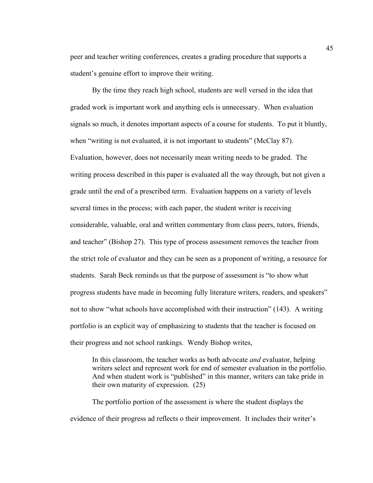peer and teacher writing conferences, creates a grading procedure that supports a student's genuine effort to improve their writing.

By the time they reach high school, students are well versed in the idea that graded work is important work and anything eels is unnecessary. When evaluation signals so much, it denotes important aspects of a course for students. To put it bluntly, when "writing is not evaluated, it is not important to students" (McClay 87). Evaluation, however, does not necessarily mean writing needs to be graded. The writing process described in this paper is evaluated all the way through, but not given a grade until the end of a prescribed term. Evaluation happens on a variety of levels several times in the process; with each paper, the student writer is receiving considerable, valuable, oral and written commentary from class peers, tutors, friends, and teacher" (Bishop 27). This type of process assessment removes the teacher from the strict role of evaluator and they can be seen as a proponent of writing, a resource for students. Sarah Beck reminds us that the purpose of assessment is "to show what progress students have made in becoming fully literature writers, readers, and speakers" not to show "what schools have accomplished with their instruction" (143). A writing portfolio is an explicit way of emphasizing to students that the teacher is focused on their progress and not school rankings. Wendy Bishop writes,

In this classroom, the teacher works as both advocate *and* evaluator, helping writers select and represent work for end of semester evaluation in the portfolio. And when student work is "published" in this manner, writers can take pride in their own maturity of expression. (25)

The portfolio portion of the assessment is where the student displays the evidence of their progress ad reflects o their improvement. It includes their writer's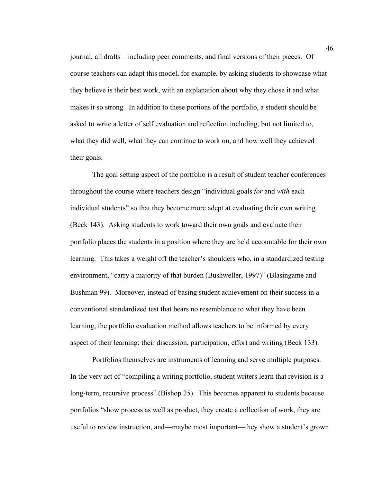journal, all drafts – including peer comments, and final versions of their pieces. Of course teachers can adapt this model, for example, by asking students to showcase what they believe is their best work, with an explanation about why they chose it and what makes it so strong. In addition to these portions of the portfolio, a student should be asked to write a letter of self evaluation and reflection including, but not limited to, what they did well, what they can continue to work on, and how well they achieved their goals.

The goal setting aspect of the portfolio is a result of student teacher conferences throughout the course where teachers design "individual goals *for* and *with* each individual students" so that they become more adept at evaluating their own writing. (Beck 143). Asking students to work toward their own goals and evaluate their portfolio places the students in a position where they are held accountable for their own learning. This takes a weight off the teacher's shoulders who, in a standardized testing environment, "carry a majority of that burden (Bushweller, 1997)" (Blasingame and Bushman 99). Moreover, instead of basing student achievement on their success in a conventional standardized test that bears no resemblance to what they have been learning, the portfolio evaluation method allows teachers to be informed by every aspect of their learning: their discussion, participation, effort and writing (Beck 133).

Portfolios themselves are instruments of learning and serve multiple purposes. In the very act of "compiling a writing portfolio, student writers learn that revision is a long-term, recursive process" (Bishop 25). This becomes apparent to students because portfolios "show process as well as product, they create a collection of work, they are useful to review instruction, and—maybe most important—they show a student's grown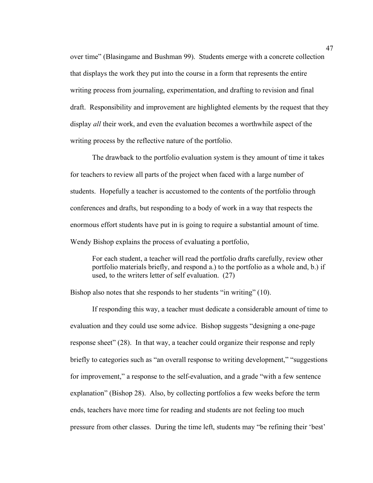over time" (Blasingame and Bushman 99). Students emerge with a concrete collection that displays the work they put into the course in a form that represents the entire writing process from journaling, experimentation, and drafting to revision and final draft. Responsibility and improvement are highlighted elements by the request that they display *all* their work, and even the evaluation becomes a worthwhile aspect of the writing process by the reflective nature of the portfolio.

The drawback to the portfolio evaluation system is they amount of time it takes for teachers to review all parts of the project when faced with a large number of students. Hopefully a teacher is accustomed to the contents of the portfolio through conferences and drafts, but responding to a body of work in a way that respects the enormous effort students have put in is going to require a substantial amount of time. Wendy Bishop explains the process of evaluating a portfolio,

For each student, a teacher will read the portfolio drafts carefully, review other portfolio materials briefly, and respond a.) to the portfolio as a whole and, b.) if used, to the writers letter of self evaluation. (27)

Bishop also notes that she responds to her students "in writing" (10).

If responding this way, a teacher must dedicate a considerable amount of time to evaluation and they could use some advice. Bishop suggests "designing a one-page response sheet" (28). In that way, a teacher could organize their response and reply briefly to categories such as "an overall response to writing development," "suggestions for improvement," a response to the self-evaluation, and a grade "with a few sentence explanation" (Bishop 28). Also, by collecting portfolios a few weeks before the term ends, teachers have more time for reading and students are not feeling too much pressure from other classes. During the time left, students may "be refining their 'best'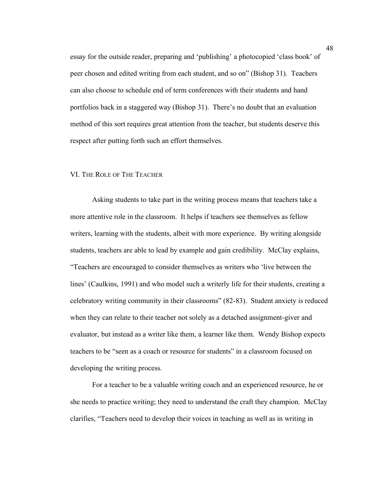essay for the outside reader, preparing and 'publishing' a photocopied 'class book' of peer chosen and edited writing from each student, and so on" (Bishop 31). Teachers can also choose to schedule end of term conferences with their students and hand portfolios back in a staggered way (Bishop 31). There's no doubt that an evaluation method of this sort requires great attention from the teacher, but students deserve this respect after putting forth such an effort themselves.

# VI. THE ROLE OF THE TEACHER

Asking students to take part in the writing process means that teachers take a more attentive role in the classroom. It helps if teachers see themselves as fellow writers, learning with the students, albeit with more experience. By writing alongside students, teachers are able to lead by example and gain credibility. McClay explains, "Teachers are encouraged to consider themselves as writers who 'live between the lines' (Caulkins, 1991) and who model such a writerly life for their students, creating a celebratory writing community in their classrooms" (82-83). Student anxiety is reduced when they can relate to their teacher not solely as a detached assignment-giver and evaluator, but instead as a writer like them, a learner like them. Wendy Bishop expects teachers to be "seen as a coach or resource for students" in a classroom focused on developing the writing process.

For a teacher to be a valuable writing coach and an experienced resource, he or she needs to practice writing; they need to understand the craft they champion. McClay clarifies, "Teachers need to develop their voices in teaching as well as in writing in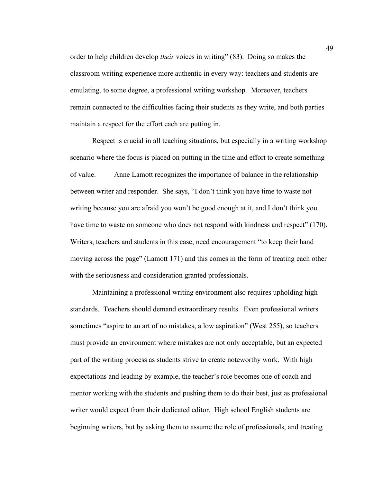order to help children develop *their* voices in writing" (83). Doing so makes the classroom writing experience more authentic in every way: teachers and students are emulating, to some degree, a professional writing workshop. Moreover, teachers remain connected to the difficulties facing their students as they write, and both parties maintain a respect for the effort each are putting in.

Respect is crucial in all teaching situations, but especially in a writing workshop scenario where the focus is placed on putting in the time and effort to create something of value. Anne Lamott recognizes the importance of balance in the relationship between writer and responder. She says, "I don't think you have time to waste not writing because you are afraid you won't be good enough at it, and I don't think you have time to waste on someone who does not respond with kindness and respect" (170). Writers, teachers and students in this case, need encouragement "to keep their hand moving across the page" (Lamott 171) and this comes in the form of treating each other with the seriousness and consideration granted professionals.

Maintaining a professional writing environment also requires upholding high standards. Teachers should demand extraordinary results. Even professional writers sometimes "aspire to an art of no mistakes, a low aspiration" (West 255), so teachers must provide an environment where mistakes are not only acceptable, but an expected part of the writing process as students strive to create noteworthy work. With high expectations and leading by example, the teacher's role becomes one of coach and mentor working with the students and pushing them to do their best, just as professional writer would expect from their dedicated editor. High school English students are beginning writers, but by asking them to assume the role of professionals, and treating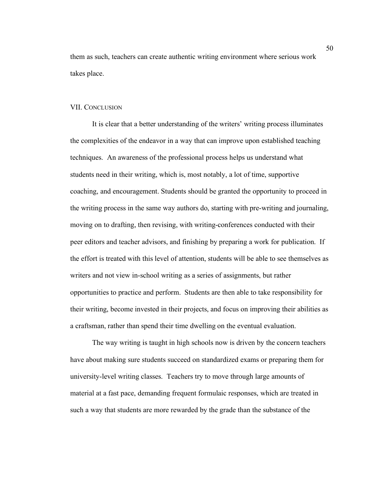them as such, teachers can create authentic writing environment where serious work takes place.

## VII. CONCLUSION

It is clear that a better understanding of the writers' writing process illuminates the complexities of the endeavor in a way that can improve upon established teaching techniques. An awareness of the professional process helps us understand what students need in their writing, which is, most notably, a lot of time, supportive coaching, and encouragement. Students should be granted the opportunity to proceed in the writing process in the same way authors do, starting with pre-writing and journaling, moving on to drafting, then revising, with writing-conferences conducted with their peer editors and teacher advisors, and finishing by preparing a work for publication. If the effort is treated with this level of attention, students will be able to see themselves as writers and not view in-school writing as a series of assignments, but rather opportunities to practice and perform. Students are then able to take responsibility for their writing, become invested in their projects, and focus on improving their abilities as a craftsman, rather than spend their time dwelling on the eventual evaluation.

The way writing is taught in high schools now is driven by the concern teachers have about making sure students succeed on standardized exams or preparing them for university-level writing classes. Teachers try to move through large amounts of material at a fast pace, demanding frequent formulaic responses, which are treated in such a way that students are more rewarded by the grade than the substance of the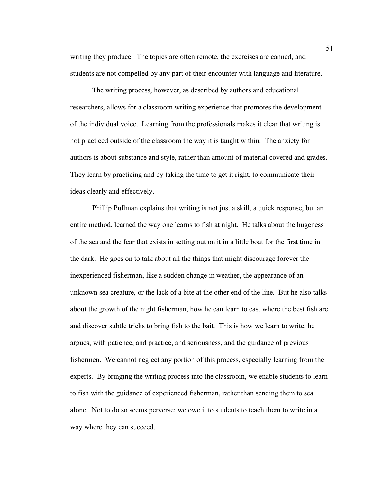writing they produce. The topics are often remote, the exercises are canned, and students are not compelled by any part of their encounter with language and literature.

The writing process, however, as described by authors and educational researchers, allows for a classroom writing experience that promotes the development of the individual voice. Learning from the professionals makes it clear that writing is not practiced outside of the classroom the way it is taught within. The anxiety for authors is about substance and style, rather than amount of material covered and grades. They learn by practicing and by taking the time to get it right, to communicate their ideas clearly and effectively.

Phillip Pullman explains that writing is not just a skill, a quick response, but an entire method, learned the way one learns to fish at night. He talks about the hugeness of the sea and the fear that exists in setting out on it in a little boat for the first time in the dark. He goes on to talk about all the things that might discourage forever the inexperienced fisherman, like a sudden change in weather, the appearance of an unknown sea creature, or the lack of a bite at the other end of the line. But he also talks about the growth of the night fisherman, how he can learn to cast where the best fish are and discover subtle tricks to bring fish to the bait. This is how we learn to write, he argues, with patience, and practice, and seriousness, and the guidance of previous fishermen. We cannot neglect any portion of this process, especially learning from the experts. By bringing the writing process into the classroom, we enable students to learn to fish with the guidance of experienced fisherman, rather than sending them to sea alone. Not to do so seems perverse; we owe it to students to teach them to write in a way where they can succeed.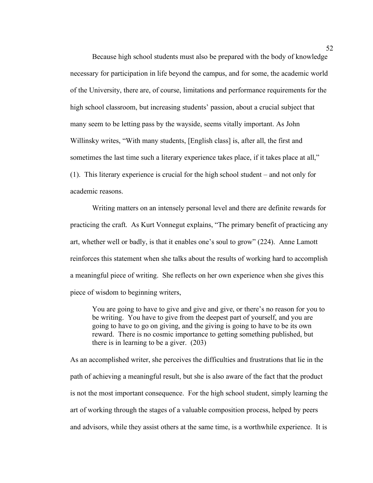Because high school students must also be prepared with the body of knowledge necessary for participation in life beyond the campus, and for some, the academic world of the University, there are, of course, limitations and performance requirements for the high school classroom, but increasing students' passion, about a crucial subject that many seem to be letting pass by the wayside, seems vitally important. As John Willinsky writes, "With many students, [English class] is, after all, the first and sometimes the last time such a literary experience takes place, if it takes place at all," (1). This literary experience is crucial for the high school student – and not only for academic reasons.

Writing matters on an intensely personal level and there are definite rewards for practicing the craft. As Kurt Vonnegut explains, "The primary benefit of practicing any art, whether well or badly, is that it enables one's soul to grow" (224). Anne Lamott reinforces this statement when she talks about the results of working hard to accomplish a meaningful piece of writing. She reflects on her own experience when she gives this piece of wisdom to beginning writers,

You are going to have to give and give and give, or there's no reason for you to be writing. You have to give from the deepest part of yourself, and you are going to have to go on giving, and the giving is going to have to be its own reward. There is no cosmic importance to getting something published, but there is in learning to be a giver. (203)

As an accomplished writer, she perceives the difficulties and frustrations that lie in the path of achieving a meaningful result, but she is also aware of the fact that the product is not the most important consequence. For the high school student, simply learning the art of working through the stages of a valuable composition process, helped by peers and advisors, while they assist others at the same time, is a worthwhile experience. It is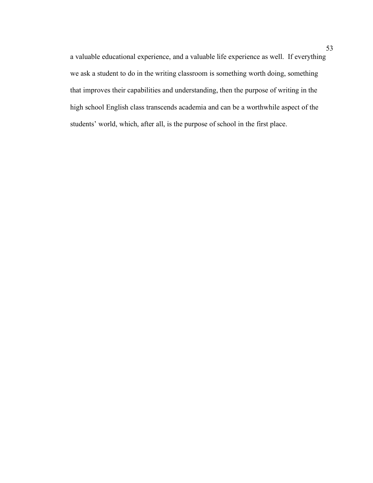a valuable educational experience, and a valuable life experience as well. If everything we ask a student to do in the writing classroom is something worth doing, something that improves their capabilities and understanding, then the purpose of writing in the high school English class transcends academia and can be a worthwhile aspect of the students' world, which, after all, is the purpose of school in the first place.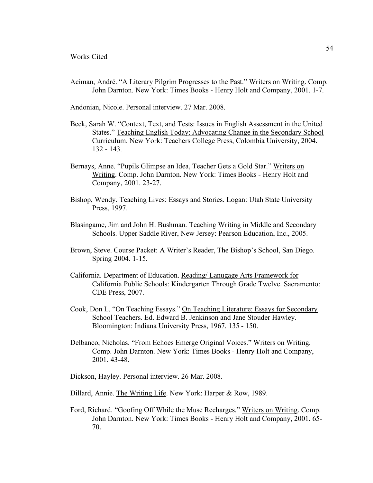Aciman, André. "A Literary Pilgrim Progresses to the Past." Writers on Writing. Comp. John Darnton. New York: Times Books - Henry Holt and Company, 2001. 1-7.

Andonian, Nicole. Personal interview. 27 Mar. 2008.

- Beck, Sarah W. "Context, Text, and Tests: Issues in English Assessment in the United States." Teaching English Today: Advocating Change in the Secondary School Curriculum. New York: Teachers College Press, Colombia University, 2004. 132 - 143.
- Bernays, Anne. "Pupils Glimpse an Idea, Teacher Gets a Gold Star." Writers on Writing. Comp. John Darnton. New York: Times Books - Henry Holt and Company, 2001. 23-27.
- Bishop, Wendy. Teaching Lives: Essays and Stories. Logan: Utah State University Press, 1997.
- Blasingame, Jim and John H. Bushman. Teaching Writing in Middle and Secondary Schools. Upper Saddle River, New Jersey: Pearson Education, Inc., 2005.
- Brown, Steve. Course Packet: A Writer's Reader, The Bishop's School, San Diego. Spring 2004. 1-15.
- California. Department of Education. Reading/ Lanugage Arts Framework for California Public Schools: Kindergarten Through Grade Twelve. Sacramento: CDE Press, 2007.
- Cook, Don L. "On Teaching Essays." On Teaching Literature: Essays for Secondary School Teachers. Ed. Edward B. Jenkinson and Jane Stouder Hawley. Bloomington: Indiana University Press, 1967. 135 - 150.
- Delbanco, Nicholas. "From Echoes Emerge Original Voices." Writers on Writing. Comp. John Darnton. New York: Times Books - Henry Holt and Company, 2001. 43-48.
- Dickson, Hayley. Personal interview. 26 Mar. 2008.
- Dillard, Annie. The Writing Life. New York: Harper & Row, 1989.
- Ford, Richard. "Goofing Off While the Muse Recharges." Writers on Writing. Comp. John Darnton. New York: Times Books - Henry Holt and Company, 2001. 65- 70.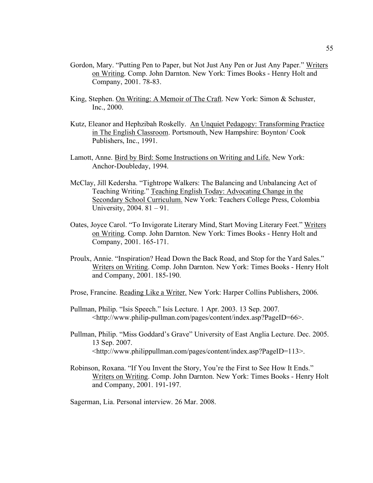- Gordon, Mary. "Putting Pen to Paper, but Not Just Any Pen or Just Any Paper." Writers on Writing. Comp. John Darnton. New York: Times Books - Henry Holt and Company, 2001. 78-83.
- King, Stephen. On Writing: A Memoir of The Craft. New York: Simon & Schuster, Inc., 2000.
- Kutz, Eleanor and Hephzibah Roskelly. An Unquiet Pedagogy: Transforming Practice in The English Classroom. Portsmouth, New Hampshire: Boynton/ Cook Publishers, Inc., 1991.
- Lamott, Anne. Bird by Bird: Some Instructions on Writing and Life. New York: Anchor-Doubleday, 1994.
- McClay, Jill Kedersha. "Tightrope Walkers: The Balancing and Unbalancing Act of Teaching Writing." Teaching English Today: Advocating Change in the Secondary School Curriculum. New York: Teachers College Press, Colombia University, 2004. 81 – 91.
- Oates, Joyce Carol. "To Invigorate Literary Mind, Start Moving Literary Feet." Writers on Writing. Comp. John Darnton. New York: Times Books - Henry Holt and Company, 2001. 165-171.
- Proulx, Annie. "Inspiration? Head Down the Back Road, and Stop for the Yard Sales." Writers on Writing. Comp. John Darnton. New York: Times Books - Henry Holt and Company, 2001. 185-190.
- Prose, Francine. Reading Like a Writer. New York: Harper Collins Publishers, 2006.
- Pullman, Philip. "Isis Speech." Isis Lecture. 1 Apr. 2003. 13 Sep. 2007. <http://www.philip-pullman.com/pages/content/index.asp?PageID=66>.
- Pullman, Philip. "Miss Goddard's Grave" University of East Anglia Lecture. Dec. 2005. 13 Sep. 2007. <http://www.philippullman.com/pages/content/index.asp?PageID=113>.
- Robinson, Roxana. "If You Invent the Story, You're the First to See How It Ends." Writers on Writing. Comp. John Darnton. New York: Times Books - Henry Holt and Company, 2001. 191-197.

Sagerman, Lia. Personal interview. 26 Mar. 2008.